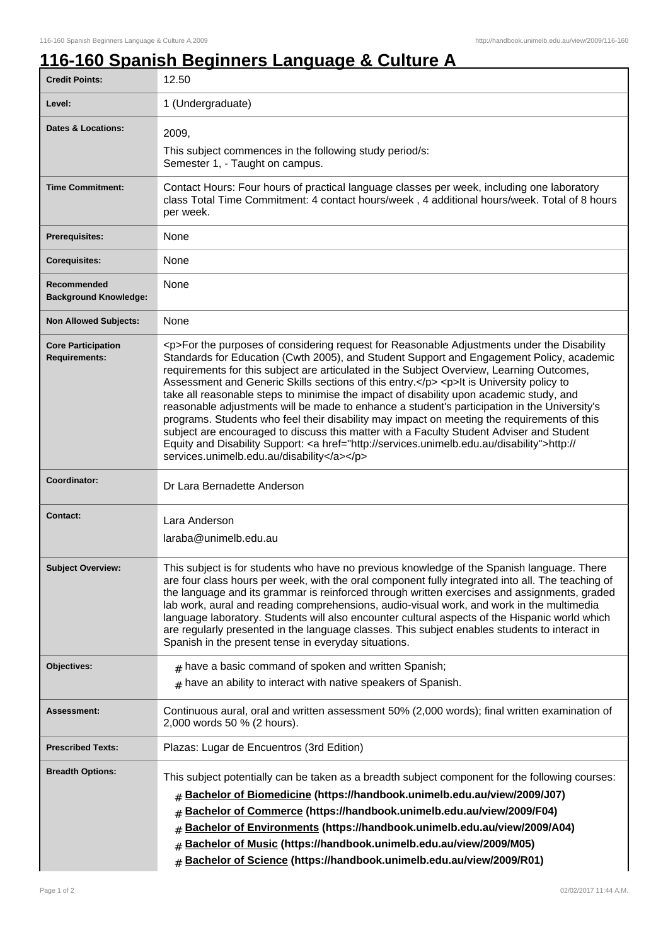ı

## **116-160 Spanish Beginners Language & Culture A**

| <b>Credit Points:</b>                             | 12.50                                                                                                                                                                                                                                                                                                                                                                                                                                                                                                                                                                                                                                                                                                                                                                                                                                                                                                                        |
|---------------------------------------------------|------------------------------------------------------------------------------------------------------------------------------------------------------------------------------------------------------------------------------------------------------------------------------------------------------------------------------------------------------------------------------------------------------------------------------------------------------------------------------------------------------------------------------------------------------------------------------------------------------------------------------------------------------------------------------------------------------------------------------------------------------------------------------------------------------------------------------------------------------------------------------------------------------------------------------|
| Level:                                            | 1 (Undergraduate)                                                                                                                                                                                                                                                                                                                                                                                                                                                                                                                                                                                                                                                                                                                                                                                                                                                                                                            |
| <b>Dates &amp; Locations:</b>                     | 2009,                                                                                                                                                                                                                                                                                                                                                                                                                                                                                                                                                                                                                                                                                                                                                                                                                                                                                                                        |
|                                                   | This subject commences in the following study period/s:<br>Semester 1, - Taught on campus.                                                                                                                                                                                                                                                                                                                                                                                                                                                                                                                                                                                                                                                                                                                                                                                                                                   |
| <b>Time Commitment:</b>                           | Contact Hours: Four hours of practical language classes per week, including one laboratory<br>class Total Time Commitment: 4 contact hours/week, 4 additional hours/week. Total of 8 hours<br>per week.                                                                                                                                                                                                                                                                                                                                                                                                                                                                                                                                                                                                                                                                                                                      |
| <b>Prerequisites:</b>                             | None                                                                                                                                                                                                                                                                                                                                                                                                                                                                                                                                                                                                                                                                                                                                                                                                                                                                                                                         |
| <b>Corequisites:</b>                              | None                                                                                                                                                                                                                                                                                                                                                                                                                                                                                                                                                                                                                                                                                                                                                                                                                                                                                                                         |
| Recommended<br><b>Background Knowledge:</b>       | None                                                                                                                                                                                                                                                                                                                                                                                                                                                                                                                                                                                                                                                                                                                                                                                                                                                                                                                         |
| <b>Non Allowed Subjects:</b>                      | None                                                                                                                                                                                                                                                                                                                                                                                                                                                                                                                                                                                                                                                                                                                                                                                                                                                                                                                         |
| <b>Core Participation</b><br><b>Requirements:</b> | <p>For the purposes of considering request for Reasonable Adjustments under the Disability<br/>Standards for Education (Cwth 2005), and Student Support and Engagement Policy, academic<br/>requirements for this subject are articulated in the Subject Overview, Learning Outcomes,<br/>Assessment and Generic Skills sections of this entry.</p> <p>lt is University policy to<br/>take all reasonable steps to minimise the impact of disability upon academic study, and<br/>reasonable adjustments will be made to enhance a student's participation in the University's<br/>programs. Students who feel their disability may impact on meeting the requirements of this<br/>subject are encouraged to discuss this matter with a Faculty Student Adviser and Student<br/>Equity and Disability Support: &lt; a href="http://services.unimelb.edu.au/disability"&gt;http://<br/>services.unimelb.edu.au/disability</p> |
| Coordinator:                                      | Dr Lara Bernadette Anderson                                                                                                                                                                                                                                                                                                                                                                                                                                                                                                                                                                                                                                                                                                                                                                                                                                                                                                  |
| <b>Contact:</b>                                   | Lara Anderson<br>laraba@unimelb.edu.au                                                                                                                                                                                                                                                                                                                                                                                                                                                                                                                                                                                                                                                                                                                                                                                                                                                                                       |
| <b>Subject Overview:</b>                          | This subject is for students who have no previous knowledge of the Spanish language. There<br>are four class hours per week, with the oral component fully integrated into all. The teaching of<br>the language and its grammar is reinforced through written exercises and assignments, graded<br>lab work, aural and reading comprehensions, audio-visual work, and work in the multimedia<br>language laboratory. Students will also encounter cultural aspects of the Hispanic world which<br>are regularly presented in the language classes. This subject enables students to interact in<br>Spanish in the present tense in everyday situations.                                                                                                                                                                                                                                                                      |
| Objectives:                                       | $#$ have a basic command of spoken and written Spanish;<br>$#$ have an ability to interact with native speakers of Spanish.                                                                                                                                                                                                                                                                                                                                                                                                                                                                                                                                                                                                                                                                                                                                                                                                  |
| Assessment:                                       | Continuous aural, oral and written assessment 50% (2,000 words); final written examination of<br>2,000 words 50 % (2 hours).                                                                                                                                                                                                                                                                                                                                                                                                                                                                                                                                                                                                                                                                                                                                                                                                 |
| <b>Prescribed Texts:</b>                          | Plazas: Lugar de Encuentros (3rd Edition)                                                                                                                                                                                                                                                                                                                                                                                                                                                                                                                                                                                                                                                                                                                                                                                                                                                                                    |
| <b>Breadth Options:</b>                           | This subject potentially can be taken as a breadth subject component for the following courses:<br>Bachelor of Biomedicine (https://handbook.unimelb.edu.au/view/2009/J07)<br>Bachelor of Commerce (https://handbook.unimelb.edu.au/view/2009/F04)<br>#<br>Bachelor of Environments (https://handbook.unimelb.edu.au/view/2009/A04)<br>Bachelor of Music (https://handbook.unimelb.edu.au/view/2009/M05)<br>#<br>Bachelor of Science (https://handbook.unimelb.edu.au/view/2009/R01)<br>#                                                                                                                                                                                                                                                                                                                                                                                                                                    |